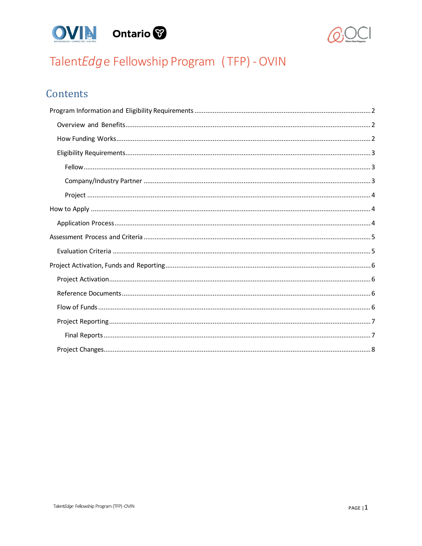



# TalentEdge Fellowship Program (TFP) - OVIN

# Contents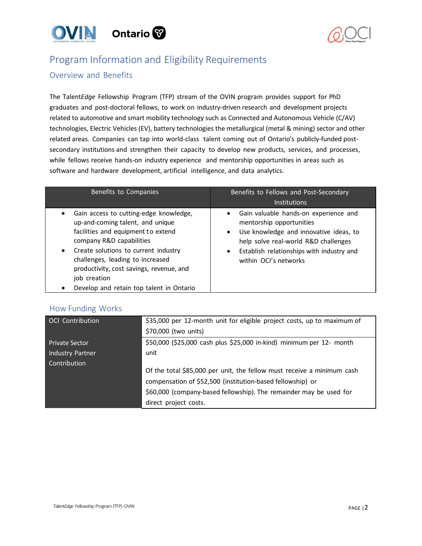



# <span id="page-1-0"></span>Program Information and Eligibility Requirements

### <span id="page-1-1"></span>Overview and Benefits

The Talent*Edge* Fellowship Program (TFP) stream of the OVIN program provides support for PhD graduates and post-doctoral fellows, to work on industry-driven research and development projects related to automotive and smart mobility technology such as Connected and Autonomous Vehicle (C/AV) technologies, Electric Vehicles (EV), battery technologies the metallurgical (metal & mining) sector and other related areas. Companies can tap into world-class talent coming out of Ontario's publicly-funded postsecondary institutions and strengthen their capacity to develop new products, services, and processes, while fellows receive hands-on industry experience and mentorship opportunities in areas such as software and hardware development, artificial intelligence, and data analytics.

| Benefits to Companies                                                                                                                                                                                                                                                                                                                              | Benefits to Fellows and Post-Secondary<br><b>Institutions</b>                                                                                                                                                                                                    |
|----------------------------------------------------------------------------------------------------------------------------------------------------------------------------------------------------------------------------------------------------------------------------------------------------------------------------------------------------|------------------------------------------------------------------------------------------------------------------------------------------------------------------------------------------------------------------------------------------------------------------|
| Gain access to cutting-edge knowledge,<br>٠<br>up-and-coming talent, and unique<br>facilities and equipment to extend<br>company R&D capabilities<br>Create solutions to current industry<br>$\bullet$<br>challenges, leading to increased<br>productivity, cost savings, revenue, and<br>job creation<br>Develop and retain top talent in Ontario | Gain valuable hands-on experience and<br>$\bullet$<br>mentorship opportunities<br>Use knowledge and innovative ideas, to<br>$\bullet$<br>help solve real-world R&D challenges<br>Establish relationships with industry and<br>$\bullet$<br>within OCI's networks |

### <span id="page-1-2"></span>How Funding Works

| <b>OCI</b> Contribution | \$35,000 per 12-month unit for eligible project costs, up to maximum of<br>\$70,000 (two units) |
|-------------------------|-------------------------------------------------------------------------------------------------|
|                         |                                                                                                 |
| <b>Private Sector</b>   | \$50,000 (\$25,000 cash plus \$25,000 in-kind) minimum per 12- month                            |
| Industry Partner        | unit                                                                                            |
| Contribution            |                                                                                                 |
|                         | Of the total \$85,000 per unit, the fellow must receive a minimum cash                          |
|                         | compensation of \$52,500 (institution-based fellowship) or                                      |
|                         | \$60,000 (company-based fellowship). The remainder may be used for                              |
|                         | direct project costs.                                                                           |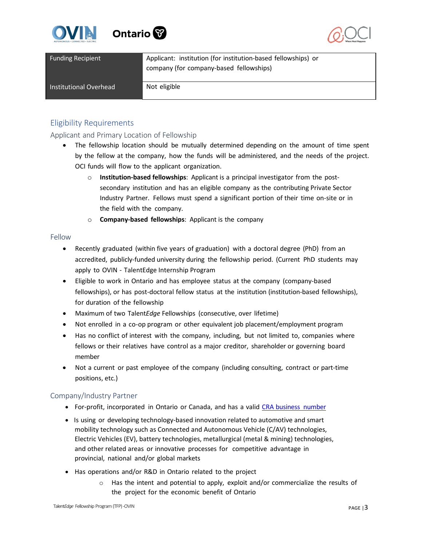



| <b>Funding Recipient</b> | Applicant: institution (for institution-based fellowships) or<br>company (for company-based fellowships) |
|--------------------------|----------------------------------------------------------------------------------------------------------|
| Institutional Overhead   | Not eligible                                                                                             |

## <span id="page-2-0"></span>Eligibility Requirements

Applicant and Primary Location of Fellowship

- The fellowship location should be mutually determined depending on the amount of time spent by the fellow at the company, how the funds will be administered, and the needs of the project. OCI funds will flow to the applicant organization.
	- o **Institution-based fellowships**: Applicant is a principal investigator from the postsecondary institution and has an eligible company as the contributing Private Sector Industry Partner. Fellows must spend a significant portion of their time on-site or in the field with the company.
	- o **Company-based fellowships**: Applicant is the company

#### <span id="page-2-1"></span>Fellow

- Recently graduated (within five years of graduation) with a doctoral degree (PhD) from an accredited, publicly-funded university during the fellowship period. (Current PhD students may apply to OVIN - [TalentEdge Internship Program](https://oce-ontario.org/programs/industry-academic-collaboration/talentedge/talentedge-internship-program)
- Eligible to work in Ontario and has employee status at the company (company-based fellowships), or has post-doctoral fellow status at the institution (institution-based fellowships), for duration of the fellowship
- Maximum of two Talent*Edge* Fellowships (consecutive, over lifetime)
- Not enrolled in a co-op program or other equivalent job placement/employment program
- Has no conflict of interest with the company, including, but not limited to, companies where fellows or their relatives have control as a major creditor, shareholder or governing board member
- Not a current or past employee of the company (including consulting, contract or part-time positions, etc.)

### <span id="page-2-2"></span>Company/Industry Partner

- For-profit, incorporated in Ontario or Canada, and has a valid CRA [business number](https://www.canada.ca/en/revenue-agency/services/tax/businesses/topics/registering-your-business/you-need-a-business-number-a-program-account.html)
- Is using or developing technology-based innovation related to automotive and smart mobility technology such as Connected and Autonomous Vehicle (C/AV) technologies, Electric Vehicles (EV), battery technologies, metallurgical (metal & mining) technologies, and other related areas or innovative processes for competitive advantage in provincial, national and/or global markets
- Has operations and/or R&D in Ontario related to the project
	- $\circ$  Has the intent and potential to apply, exploit and/or commercialize the results of the project for the economic benefit of Ontario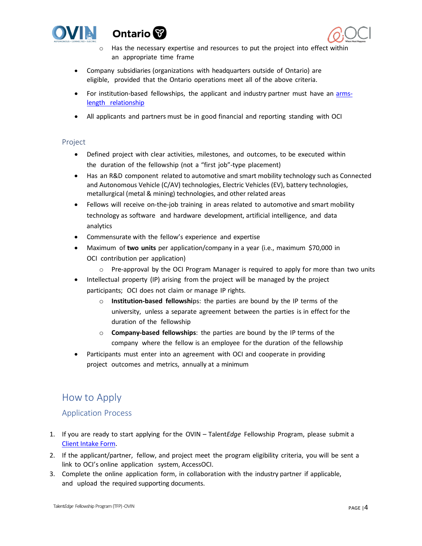





- $\circ$  Has the necessary expertise and resources to put the project into effect within an appropriate time frame
- Company subsidiaries (organizations with headquarters outside of Ontario) are eligible, provided that the Ontario operations meet all of the above criteria.
- For institution-based fellowships, the applicant and industry partner must have an [arms](https://www.nserc-crsng.gc.ca/NSERC-CRSNG/Policies-Politiques/orgpartners-orgpartenaires_eng.asp)length [relationship](https://www.nserc-crsng.gc.ca/NSERC-CRSNG/Policies-Politiques/orgpartners-orgpartenaires_eng.asp)
- All applicants and partners must be in good financial and reporting standing with OCI

#### <span id="page-3-0"></span>Project

- Defined project with clear activities, milestones, and outcomes, to be executed within the duration of the fellowship (not a "first job"-type placement)
- Has an R&D component related to automotive and smart mobility technology such as Connected and Autonomous Vehicle (C/AV) technologies, Electric Vehicles (EV), battery technologies, metallurgical (metal & mining) technologies, and other related areas
- Fellows will receive on-the-job training in areas related to automotive and smart mobility technology as software and hardware development, artificial intelligence, and data analytics
- Commensurate with the fellow's experience and expertise
- Maximum of **two units** per application/company in a year (i.e., maximum \$70,000 in OCI contribution per application)
	- $\circ$  Pre-approval by the OCI Program Manager is required to apply for more than two units
- Intellectual property (IP) arising from the project will be managed by the project participants; OCI does not claim or manage IP rights.
	- o **Institution-based fellowshi**ps: the parties are bound by the IP terms of the university, unless a separate agreement between the parties is in effect for the duration of the fellowship
	- o **Company-based fellowships**: the parties are bound by the IP terms of the company where the fellow is an employee for the duration of the fellowship
- Participants must enter into an agreement with OCI and cooperate in providing project outcomes and metrics, annually at a minimum

# <span id="page-3-1"></span>How to Apply

### <span id="page-3-2"></span>Application Process

- 1. If you are ready to start applying for the OVIN Talent*Edge* Fellowship Program, please submit a [Client Intake Form.](https://w3rcb4fd9nn.typeform.com/to/nUxjRXMO#name%3Dxxxxx)
- 2. If the applicant/partner, fellow, and project meet the program eligibility criteria, you will be sent a link to OCI's online application system, AccessOCI.
- 3. Complete the online application form, in collaboration with the industry partner if applicable, and upload the required supporting documents.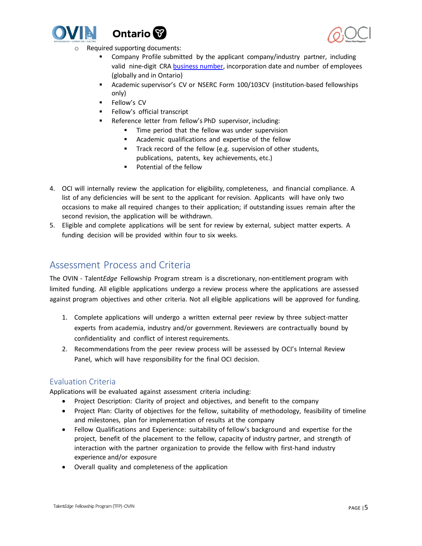





- Required supporting documents:
	- **EXP** Company Profile submitted by the applicant company/industry partner, including valid nine-digit CRA [business number,](https://www.canada.ca/en/revenue-agency/services/tax/businesses/topics/registering-your-business/you-need-a-business-number-a-program-account.html) incorporation date and number of employees (globally and in Ontario)
	- Academic supervisor's CV or NSERC Form 100/103CV (institution-based fellowships only)
	- Fellow's CV
	- Fellow's official transcript
	- Reference letter from fellow's PhD supervisor, including:
		- Time period that the fellow was under supervision
		- Academic qualifications and expertise of the fellow
		- Track record of the fellow (e.g. supervision of other students, publications, patents, key achievements, etc.)
		- Potential of the fellow
- 4. OCI will internally review the application for eligibility, completeness, and financial compliance. A list of any deficiencies will be sent to the applicant for revision. Applicants will have only two occasions to make all required changes to their application; if outstanding issues remain after the second revision, the application will be withdrawn.
- 5. Eligible and complete applications will be sent for review by external, subject matter experts. A funding decision will be provided within four to six weeks.

# <span id="page-4-0"></span>Assessment Process and Criteria

The OVIN - Talent*Edge* Fellowship Program stream is a discretionary, non-entitlement program with limited funding. All eligible applications undergo a review process where the applications are assessed against program objectives and other criteria. Not all eligible applications will be approved for funding.

- 1. Complete applications will undergo a written external peer review by three subject-matter experts from academia, industry and/or government. Reviewers are contractually bound by confidentiality and conflict of interest requirements.
- 2. Recommendations from the peer review process will be assessed by OCI's Internal Review Panel, which will have responsibility for the final OCI decision.

## <span id="page-4-1"></span>Evaluation Criteria

Applications will be evaluated against assessment criteria including:

- Project Description: Clarity of project and objectives, and benefit to the company
- Project Plan: Clarity of objectives for the fellow, suitability of methodology, feasibility of timeline and milestones, plan for implementation of results at the company
- Fellow Qualifications and Experience: suitability of fellow's background and expertise for the project, benefit of the placement to the fellow, capacity of industry partner, and strength of interaction with the partner organization to provide the fellow with first-hand industry experience and/or exposure
- Overall quality and completeness of the application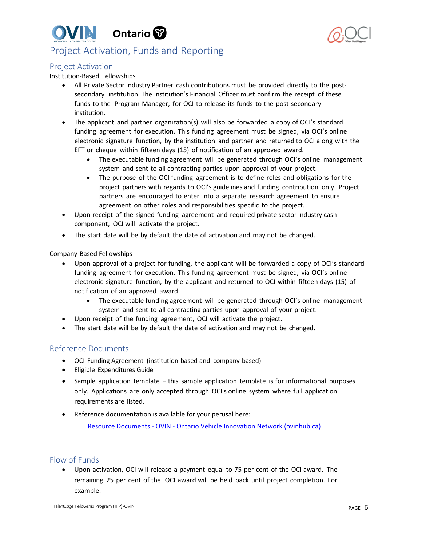



# <span id="page-5-0"></span>Project Activation, Funds and Reporting

### <span id="page-5-1"></span>Project Activation

#### Institution-Based Fellowships

- All Private Sector Industry Partner cash contributions must be provided directly to the postsecondary institution. The institution's Financial Officer must confirm the receipt of these funds to the Program Manager, for OCI to release its funds to the post-secondary institution.
- The applicant and partner organization(s) will also be forwarded a copy of OCI's standard funding agreement for execution. This funding agreement must be signed, via OCI's online electronic signature function, by the institution and partner and returned to OCI along with the EFT or cheque within fifteen days (15) of notification of an approved award.
	- The executable funding agreement will be generated through OCI's online management system and sent to all contracting parties upon approval of your project.
	- The purpose of the OCI funding agreement is to define roles and obligations for the project partners with regards to OCI's guidelines and funding contribution only. Project partners are encouraged to enter into a separate research agreement to ensure agreement on other roles and responsibilities specific to the project.
- Upon receipt of the signed funding agreement and required private sector industry cash component, OCI will activate the project.
- The start date will be by default the date of activation and may not be changed.

#### Company-Based Fellowships

- Upon approval of a project for funding, the applicant will be forwarded a copy of OCI's standard funding agreement for execution. This funding agreement must be signed, via OCI's online electronic signature function, by the applicant and returned to OCI within fifteen days (15) of notification of an approved award
	- The executable funding agreement will be generated through OCI's online management system and sent to all contracting parties upon approval of your project.
- Upon receipt of the funding agreement, OCI will activate the project.
- The start date will be by default the date of activation and may not be changed.

### <span id="page-5-2"></span>Reference Documents

- OCI Funding Agreement (institution-based and company-based)
- Eligible Expenditures Guide
- Sample application template this sample application template is for informational purposes only. Applications are only accepted through OCI's online system where full application requirements are listed.
- Reference documentation is available for your perusal here:

[Resource Documents - OVIN - Ontario Vehicle Innovation Network \(ovinhub.ca\)](https://www.ovinhub.ca/resource-documents/)

### <span id="page-5-3"></span>Flow of Funds

• Upon activation, OCI will release a payment equal to 75 per cent of the OCI award. The remaining 25 per cent of the OCI award will be held back until project completion. For example: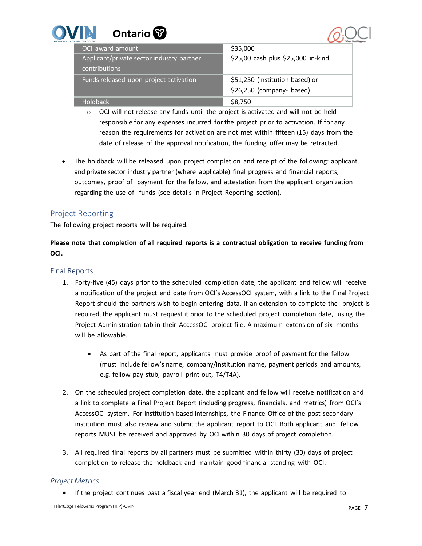| E<br>Ontario <sup>8</sup><br><b>ECTED + ELECTRI</b>        |                                    |
|------------------------------------------------------------|------------------------------------|
| OCI award amount                                           | \$35,000                           |
| Applicant/private sector industry partner<br>contributions | \$25,00 cash plus \$25,000 in-kind |
| Funds released upon project activation                     | \$51,250 (institution-based) or    |
|                                                            | \$26,250 (company- based)          |
| <b>Holdback</b>                                            | \$8,750                            |

- $\circ$  OCI will not release any funds until the project is activated and will not be held responsible for any expenses incurred for the project prior to activation. If for any reason the requirements for activation are not met within fifteen (15) days from the date of release of the approval notification, the funding offer may be retracted.
- The holdback will be released upon project completion and receipt of the following: applicant and private sector industry partner (where applicable) final progress and financial reports, outcomes, proof of payment for the fellow, and attestation from the applicant organization regarding the use of funds (see details in Project Reporting section).

# <span id="page-6-0"></span>Project Reporting

The following project reports will be required.

**Please note that completion of all required reports is a contractual obligation to receive funding from OCI.**

## <span id="page-6-1"></span>Final Reports

- 1. Forty-five (45) days prior to the scheduled completion date, the applicant and fellow will receive a notification of the project end date from OCI's AccessOCI system, with a link to the Final Project Report should the partners wish to begin entering data. If an extension to complete the project is required, the applicant must request it prior to the scheduled project completion date, using the Project Administration tab in their AccessOCI project file. A maximum extension of six months will be allowable.
	- As part of the final report, applicants must provide proof of payment for the fellow (must include fellow's name, company/institution name, payment periods and amounts, e.g. fellow pay stub, payroll print-out, T4/T4A).
- 2. On the scheduled project completion date, the applicant and fellow will receive notification and a link to complete a Final Project Report (including progress, financials, and metrics) from OCI's AccessOCI system. For institution-based internships, the Finance Office of the post-secondary institution must also review and submit the applicant report to OCI. Both applicant and fellow reports MUST be received and approved by OCI within 30 days of project completion.
- 3. All required final reports by all partners must be submitted within thirty (30) days of project completion to release the holdback and maintain good financial standing with OCI.

## *Project Metrics*

• If the project continues past a fiscal year end (March 31), the applicant will be required to